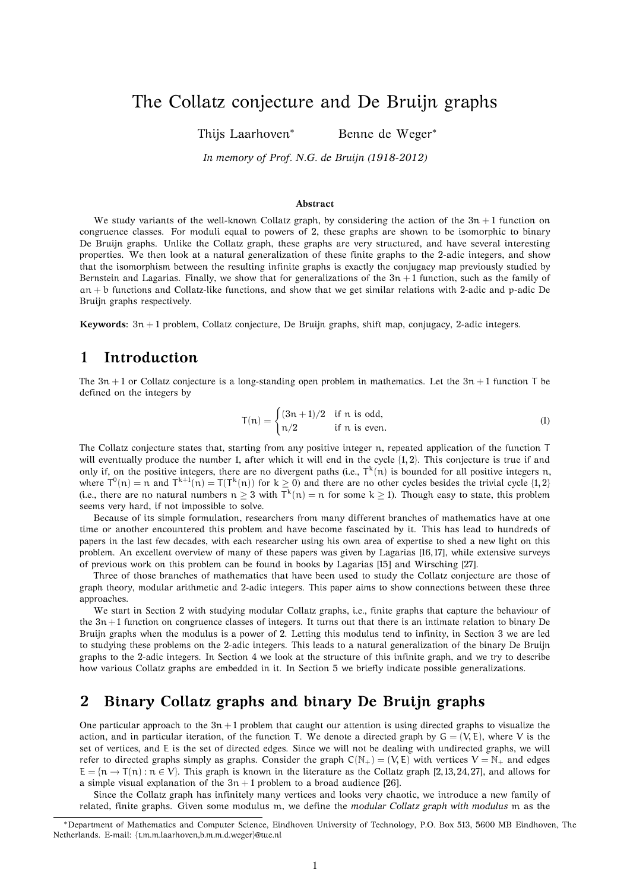# The Collatz conjecture and De Bruijn graphs

Thijs Laarhoven<sup>∗</sup> Benne de Weger<sup>∗</sup>

*In memory of Prof. N.G. de Bruijn (1918-2012)*

#### **Abstract**

We study variants of the well-known Collatz graph, by considering the action of the  $3n + 1$  function on congruence classes. For moduli equal to powers of 2, these graphs are shown to be isomorphic to binary De Bruijn graphs. Unlike the Collatz graph, these graphs are very structured, and have several interesting properties. We then look at a natural generalization of these finite graphs to the 2-adic integers, and show that the isomorphism between the resulting infinite graphs is exactly the conjugacy map previously studied by Bernstein and Lagarias. Finally, we show that for generalizations of the  $3n + 1$  function, such as the family of an + b functions and Collatz-like functions, and show that we get similar relations with 2-adic and p-adic De Bruijn graphs respectively.

**Keywords:** 3n + 1 problem, Collatz conjecture, De Bruijn graphs, shift map, conjugacy, 2-adic integers.

#### **1 Introduction**

The  $3n + 1$  or Collatz conjecture is a long-standing open problem in mathematics. Let the  $3n + 1$  function T be defined on the integers by

$$
T(n) = \begin{cases} (3n+1)/2 & \text{if } n \text{ is odd,} \\ n/2 & \text{if } n \text{ is even.} \end{cases}
$$
 (1)

The Collatz conjecture states that, starting from any positive integer n, repeated application of the function T will eventually produce the number 1, after which it will end in the cycle  $\{1, 2\}$ . This conjecture is true if and only if, on the positive integers, there are no divergent paths (i.e.,  $T^k(n)$  is bounded for all positive integers n, where  $T^0(n) = n$  and  $T^{k+1}(n) = T(T^k(n))$  for  $k \ge 0$ ) and there are no other cycles besides the trivial cycle  $\{1, 2\}$ (i.e., there are no natural numbers  $n \geq 3$  with  $T^k(n) = n$  for some  $k \geq 1$ ). Though easy to state, this problem seems very hard, if not impossible to solve.

Because of its simple formulation, researchers from many different branches of mathematics have at one time or another encountered this problem and have become fascinated by it. This has lead to hundreds of papers in the last few decades, with each researcher using his own area of expertise to shed a new light on this problem. An excellent overview of many of these papers was given by Lagarias [16, 17], while extensive surveys of previous work on this problem can be found in books by Lagarias [15] and Wirsching [27].

Three of those branches of mathematics that have been used to study the Collatz conjecture are those of graph theory, modular arithmetic and 2-adic integers. This paper aims to show connections between these three approaches.

We start in Section 2 with studying modular Collatz graphs, i.e., finite graphs that capture the behaviour of the  $3n + 1$  function on congruence classes of integers. It turns out that there is an intimate relation to binary De Bruijn graphs when the modulus is a power of 2. Letting this modulus tend to infinity, in Section 3 we are led to studying these problems on the 2-adic integers. This leads to a natural generalization of the binary De Bruijn graphs to the 2-adic integers. In Section 4 we look at the structure of this infinite graph, and we try to describe how various Collatz graphs are embedded in it. In Section 5 we briefly indicate possible generalizations.

### **2 Binary Collatz graphs and binary De Bruijn graphs**

One particular approach to the  $3n + 1$  problem that caught our attention is using directed graphs to visualize the action, and in particular iteration, of the function T. We denote a directed graph by  $G = (V, E)$ , where V is the set of vertices, and E is the set of directed edges. Since we will not be dealing with undirected graphs, we will refer to directed graphs simply as graphs. Consider the graph  $C(N_+) = (V, E)$  with vertices  $V = N_+$  and edges  $E = \{n \to T(n) : n \in V\}$ . This graph is known in the literature as the Collatz graph [2,13,24,27], and allows for a simple visual explanation of the  $3n + 1$  problem to a broad audience [26].

Since the Collatz graph has infinitely many vertices and looks very chaotic, we introduce a new family of related, finite graphs. Given some modulus m, we define the *modular Collatz graph with modulus* m as the

<sup>∗</sup>Department of Mathematics and Computer Science, Eindhoven University of Technology, P.O. Box 513, 5600 MB Eindhoven, The Netherlands. E-mail: {t.m.m.laarhoven,b.m.m.d.weger}@tue.nl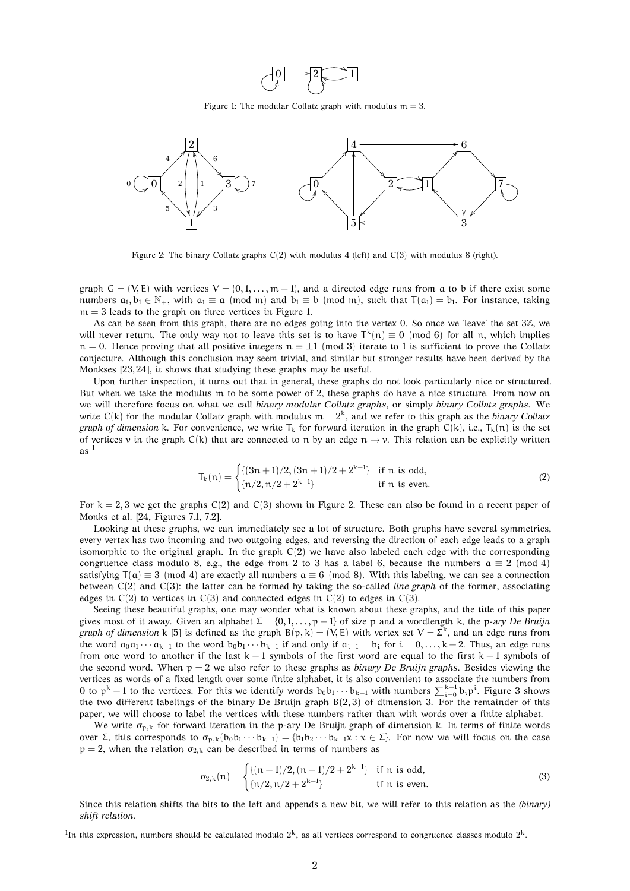

Figure 1: The modular Collatz graph with modulus  $m = 3$ .



Figure 2: The binary Collatz graphs  $C(2)$  with modulus 4 (left) and  $C(3)$  with modulus 8 (right).

graph  $G = (V, E)$  with vertices  $V = \{0, 1, ..., m-1\}$ , and a directed edge runs from a to b if there exist some numbers  $a_1, b_1 \in \mathbb{N}_+$ , with  $a_1 \equiv a \pmod{m}$  and  $b_1 \equiv b \pmod{m}$ , such that  $T(a_1) = b_1$ . For instance, taking  $m = 3$  leads to the graph on three vertices in Figure 1.

As can be seen from this graph, there are no edges going into the vertex 0. So once we 'leave' the set 3Z, we will never return. The only way not to leave this set is to have  $T^k(n) \equiv 0 \pmod{6}$  for all n, which implies  $n = 0$ . Hence proving that all positive integers  $n \equiv \pm 1 \pmod{3}$  iterate to 1 is sufficient to prove the Collatz conjecture. Although this conclusion may seem trivial, and similar but stronger results have been derived by the Monkses [23, 24], it shows that studying these graphs may be useful.

Upon further inspection, it turns out that in general, these graphs do not look particularly nice or structured. But when we take the modulus m to be some power of 2, these graphs do have a nice structure. From now on we will therefore focus on what we call *binary modular Collatz graphs*, or simply *binary Collatz graphs*. We write  $C(k)$  for the modular Collatz graph with modulus  $m = 2<sup>k</sup>$ , and we refer to this graph as the *binary Collatz graph of dimension* k. For convenience, we write  $T_k$  for forward iteration in the graph  $C(k)$ , i.e.,  $T_k(n)$  is the set of vertices v in the graph C(k) that are connected to n by an edge  $n \rightarrow v$ . This relation can be explicitly written as $1$ 

$$
T_{k}(n) = \begin{cases} \{(3n+1)/2, (3n+1)/2+2^{k-1}\} & \text{if } n \text{ is odd,} \\ \{n/2, n/2+2^{k-1}\} & \text{if } n \text{ is even.} \end{cases}
$$
 (2)

For  $k = 2, 3$  we get the graphs  $C(2)$  and  $C(3)$  shown in Figure 2. These can also be found in a recent paper of Monks et al. [24, Figures 7.1, 7.2].

Looking at these graphs, we can immediately see a lot of structure. Both graphs have several symmetries, every vertex has two incoming and two outgoing edges, and reversing the direction of each edge leads to a graph isomorphic to the original graph. In the graph  $C(2)$  we have also labeled each edge with the corresponding congruence class modulo 8, e.g., the edge from 2 to 3 has a label 6, because the numbers  $a \equiv 2 \pmod{4}$ satisfying  $T(a) \equiv 3 \pmod{4}$  are exactly all numbers  $a \equiv 6 \pmod{8}$ . With this labeling, we can see a connection between C(2) and C(3): the latter can be formed by taking the so-called *line graph* of the former, associating edges in  $C(2)$  to vertices in  $C(3)$  and connected edges in  $C(2)$  to edges in  $C(3)$ .

Seeing these beautiful graphs, one may wonder what is known about these graphs, and the title of this paper gives most of it away. Given an alphabet  $\Sigma = \{0, 1, \ldots, p - 1\}$  of size p and a wordlength k, the p-ary De Bruijn *graph of dimension* k [5] is defined as the graph  $B(p, k) = (V, E)$  with vertex set  $V = \Sigma^k$ , and an edge runs from the word  $a_0a_1 \cdots a_{k-1}$  to the word  $b_0b_1 \cdots b_{k-1}$  if and only if  $a_{i+1} = b_i$  for  $i = 0, \ldots, k-2$ . Thus, an edge runs from one word to another if the last  $k - 1$  symbols of the first word are equal to the first  $k - 1$  symbols of the second word. When  $p = 2$  we also refer to these graphs as *binary De Bruijn graphs*. Besides viewing the vertices as words of a fixed length over some finite alphabet, it is also convenient to associate the numbers from 0 to  $p^k - 1$  to the vertices. For this we identify words  $b_0b_1 \cdots b_{k-1}$  with numbers  $\sum_{i=0}^{k-1} b_i p^i$ . Figure 3 shows the two different labelings of the binary De Bruijn graph  $B(2,3)$  of dimension 3. For the remainder of this paper, we will choose to label the vertices with these numbers rather than with words over a finite alphabet.

We write  $\sigma_{p,k}$  for forward iteration in the p-ary De Bruijn graph of dimension k. In terms of finite words over Σ, this corresponds to  $\sigma_{p,k}(b_0b_1 \cdots b_{k-1}) = \{b_1b_2 \cdots b_{k-1}x : x \in \Sigma\}$ . For now we will focus on the case  $p = 2$ , when the relation  $\sigma_{2,k}$  can be described in terms of numbers as

$$
\sigma_{2,k}(n) = \begin{cases} \{(n-1)/2, (n-1)/2 + 2^{k-1}\} & \text{if } n \text{ is odd,} \\ \{n/2, n/2 + 2^{k-1}\} & \text{if } n \text{ is even.} \end{cases}
$$
(3)

Since this relation shifts the bits to the left and appends a new bit, we will refer to this relation as the *(binary) shift relation*.

<sup>&</sup>lt;sup>1</sup>In this expression, numbers should be calculated modulo  $2^k$ , as all vertices correspond to congruence classes modulo  $2^k$ .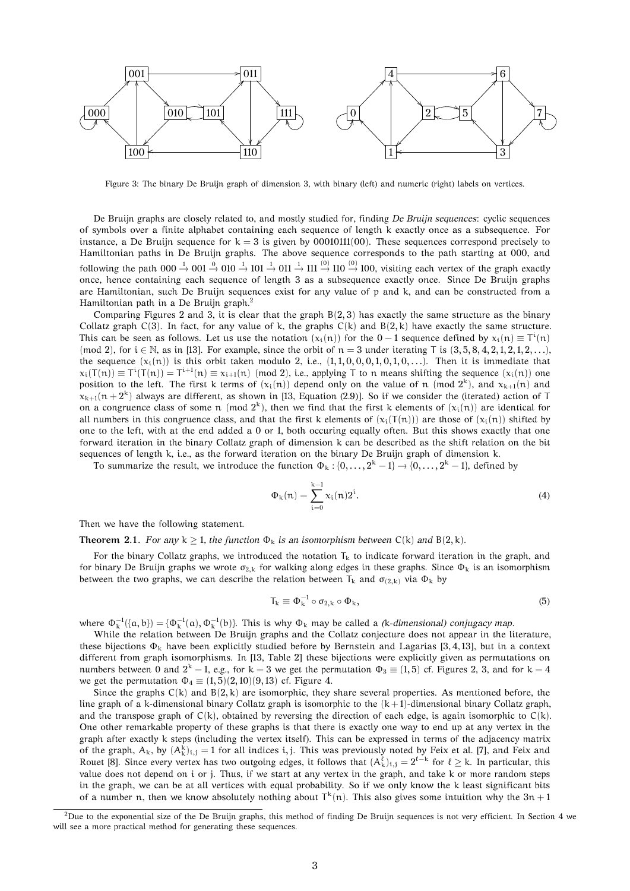

Figure 3: The binary De Bruijn graph of dimension 3, with binary (left) and numeric (right) labels on vertices.

De Bruijn graphs are closely related to, and mostly studied for, finding *De Bruijn sequences*: cyclic sequences of symbols over a finite alphabet containing each sequence of length k exactly once as a subsequence. For instance, a De Bruijn sequence for  $k = 3$  is given by 00010111(00). These sequences correspond precisely to Hamiltonian paths in De Bruijn graphs. The above sequence corresponds to the path starting at 000, and following the path  $000 \to 001 \to 010 \to 101 \to 011 \to 011 \to 110 \to 100$ , visiting each vertex of the graph exactly once, hence containing each sequence of length 3 as a subsequence exactly once. Since De Bruijn graphs are Hamiltonian, such De Bruijn sequences exist for any value of p and k, and can be constructed from a Hamiltonian path in a De Bruijn graph.<sup>2</sup>

Comparing Figures 2 and 3, it is clear that the graph  $B(2, 3)$  has exactly the same structure as the binary Collatz graph  $C(3)$ . In fact, for any value of k, the graphs  $C(k)$  and  $B(2, k)$  have exactly the same structure. This can be seen as follows. Let us use the notation  $(x_i(n))$  for the 0 – 1 sequence defined by  $x_i(n) \equiv T^i(n)$ (mod 2), for  $i \in \mathbb{N}$ , as in [13]. For example, since the orbit of  $n = 3$  under iterating T is  $(3, 5, 8, 4, 2, 1, 2, 1, 2, ...)$ the sequence  $(x_i(n))$  is this orbit taken modulo 2, i.e.,  $(1,1,0,0,0,1,0,1,0,...)$ . Then it is immediate that  $x_i(T(n)) \equiv T^i(T(n)) = T^{i+1}(n) \equiv x_{i+1}(n) \pmod{2}$ , i.e., applying T to n means shifting the sequence  $(x_i(n))$  one position to the left. The first k terms of  $(x_i(n))$  depend only on the value of n (mod  $2^k$ ), and  $x_{k+1}(n)$  and  $x_{k+1}(n+2^k)$  always are different, as shown in [13, Equation (2.9)]. So if we consider the (iterated) action of T on a congruence class of some n (mod  $2^k$ ), then we find that the first k elements of  $(x_i(n))$  are identical for all numbers in this congruence class, and that the first k elements of  $(x_i(T(n)))$  are those of  $(x_i(n))$  shifted by one to the left, with at the end added a 0 or 1, both occuring equally often. But this shows exactly that one forward iteration in the binary Collatz graph of dimension k can be described as the shift relation on the bit sequences of length k, i.e., as the forward iteration on the binary De Bruijn graph of dimension k.

To summarize the result, we introduce the function  $\Phi_k$ :  $\{0, \ldots, 2^k - 1\} \rightarrow \{0, \ldots, 2^k - 1\}$ , defined by

$$
\Phi_{k}(n) = \sum_{i=0}^{k-1} x_{i}(n) 2^{i}.
$$
\n(4)

Then we have the following statement.

**Theorem 2.1.** *For any*  $k > 1$ *, the function*  $\Phi_k$  *is an isomorphism between*  $C(k)$  *and*  $B(2, k)$ *.* 

For the binary Collatz graphs, we introduced the notation  $T_k$  to indicate forward iteration in the graph, and for binary De Bruijn graphs we wrote  $\sigma_{2,k}$  for walking along edges in these graphs. Since  $\Phi_k$  is an isomorphism between the two graphs, we can describe the relation between  $T_k$  and  $\sigma_{(2,k)}$  via  $\Phi_k$  by

$$
T_k \equiv \Phi_k^{-1} \circ \sigma_{2,k} \circ \Phi_k,\tag{5}
$$

where  $\Phi_k^{-1}(\{a, b\}) = \{\Phi_k^{-1}(a), \Phi_k^{-1}(b)\}$ . This is why  $\Phi_k$  may be called a *(k-dimensional) conjugacy map*.

While the relation between De Bruijn graphs and the Collatz conjecture does not appear in the literature, these bijections  $\Phi_k$  have been explicitly studied before by Bernstein and Lagarias [3, 4, 13], but in a context different from graph isomorphisms. In [13, Table 2] these bijections were explicitly given as permutations on numbers between 0 and  $2^k - 1$ , e.g., for k = 3 we get the permutation  $\Phi_3 \equiv (1, 5)$  cf. Figures 2, 3, and for k = 4 we get the permutation  $\Phi_4 \equiv (1, 5)(2, 10)(9, 13)$  cf. Figure 4.

Since the graphs  $C(k)$  and  $B(2, k)$  are isomorphic, they share several properties. As mentioned before, the line graph of a k-dimensional binary Collatz graph is isomorphic to the  $(k+1)$ -dimensional binary Collatz graph, and the transpose graph of  $C(k)$ , obtained by reversing the direction of each edge, is again isomorphic to  $C(k)$ . One other remarkable property of these graphs is that there is exactly one way to end up at any vertex in the graph after exactly k steps (including the vertex itself). This can be expressed in terms of the adjacency matrix of the graph,  $A_k$ , by  $(A_k^k)_{i,j} = 1$  for all indices i, j. This was previously noted by Feix et al. [7], and Feix and Rouet [8]. Since every vertex has two outgoing edges, it follows that  $(A_k^{\ell})_{i,j} = 2^{\ell-k}$  for  $\ell \geq k$ . In particular, this value does not depend on i or j. Thus, if we start at any vertex in the graph, and take k or more random steps in the graph, we can be at all vertices with equal probability. So if we only know the k least significant bits of a number n, then we know absolutely nothing about  $T^k(n)$ . This also gives some intuition why the  $3n + 1$ 

 $^{2}$ Due to the exponential size of the De Bruijn graphs, this method of finding De Bruijn sequences is not very efficient. In Section 4 we will see a more practical method for generating these sequences.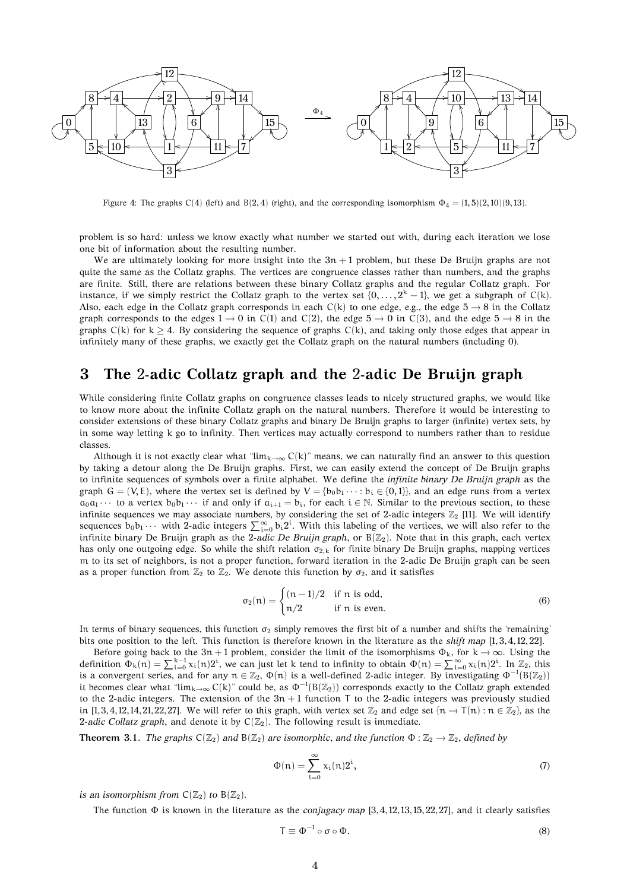

Figure 4: The graphs C(4) (left) and B(2, 4) (right), and the corresponding isomorphism  $\Phi_4 = (1, 5)(2, 10)(9, 13)$ .

problem is so hard: unless we know exactly what number we started out with, during each iteration we lose one bit of information about the resulting number.

We are ultimately looking for more insight into the  $3n + 1$  problem, but these De Bruijn graphs are not quite the same as the Collatz graphs. The vertices are congruence classes rather than numbers, and the graphs are finite. Still, there are relations between these binary Collatz graphs and the regular Collatz graph. For instance, if we simply restrict the Collatz graph to the vertex set  $\{0,\ldots,2^k-1\}$ , we get a subgraph of C(k). Also, each edge in the Collatz graph corresponds in each  $C(k)$  to one edge, e.g., the edge  $5 \rightarrow 8$  in the Collatz graph corresponds to the edges  $1 \rightarrow 0$  in C(1) and C(2), the edge  $5 \rightarrow 0$  in C(3), and the edge  $5 \rightarrow 8$  in the graphs  $C(k)$  for  $k \geq 4$ . By considering the sequence of graphs  $C(k)$ , and taking only those edges that appear in infinitely many of these graphs, we exactly get the Collatz graph on the natural numbers (including 0).

#### **3 The** 2**-adic Collatz graph and the** 2**-adic De Bruijn graph**

While considering finite Collatz graphs on congruence classes leads to nicely structured graphs, we would like to know more about the infinite Collatz graph on the natural numbers. Therefore it would be interesting to consider extensions of these binary Collatz graphs and binary De Bruijn graphs to larger (infinite) vertex sets, by in some way letting k go to infinity. Then vertices may actually correspond to numbers rather than to residue classes.

Although it is not exactly clear what " $\lim_{k\to\infty} C(k)$ " means, we can naturally find an answer to this question by taking a detour along the De Bruijn graphs. First, we can easily extend the concept of De Bruijn graphs to infinite sequences of symbols over a finite alphabet. We define the *infinite binary De Bruijn graph* as the graph  $G = (V, E)$ , where the vertex set is defined by  $V = \{b_0 b_1 \cdots : b_i \in \{0, 1\}\}$ , and an edge runs from a vertex  $a_0a_1 \cdots$  to a vertex  $b_0b_1 \cdots$  if and only if  $a_{i+1} = b_i$ , for each  $i \in \mathbb{N}$ . Similar to the previous section, to these infinite sequences we may associate numbers, by considering the set of 2-adic integers  $\mathbb{Z}_2$  [11]. We will identify sequences  $b_0b_1\cdots$  with 2-adic integers  $\sum_{i=0}^{\infty} b_i 2^i$ . With this labeling of the vertices, we will also refer to the infinite binary De Bruijn graph as the 2-adic De Bruijn graph, or  $B(\mathbb{Z}_2)$ . Note that in this graph, each vertex has only one outgoing edge. So while the shift relation  $\sigma_{2,k}$  for finite binary De Bruijn graphs, mapping vertices m to its set of neighbors, is not a proper function, forward iteration in the 2-adic De Bruijn graph can be seen as a proper function from  $\mathbb{Z}_2$  to  $\mathbb{Z}_2$ . We denote this function by  $\sigma_2$ , and it satisfies

$$
\sigma_2(n) = \begin{cases} (n-1)/2 & \text{if } n \text{ is odd,} \\ n/2 & \text{if } n \text{ is even.} \end{cases}
$$
 (6)

In terms of binary sequences, this function  $\sigma_2$  simply removes the first bit of a number and shifts the 'remaining' bits one position to the left. This function is therefore known in the literature as the *shift map* [1, 3, 4, 12, 22].

Before going back to the 3n + 1 problem, consider the limit of the isomorphisms  $\Phi_k$ , for  $k \to \infty$ . Using the definition  $\Phi_k(n) = \sum_{i=0}^{k-1} x_i(n) 2^i$ , we can just let k tend to infinity to obtain  $\Phi(n) = \sum_{i=0}^{\infty} x_i(n) 2^i$ . In  $\mathbb{Z}_2$ , this is a convergent series, and for any  $n \in \mathbb{Z}_2$ ,  $\Phi(n)$  is a well-defined 2-adic integer. By investigating  $\Phi^{-1}(B(\mathbb{Z}_2))$ it becomes clear what " $\lim_{k\to\infty} C(k)$ " could be, as  $\Phi^{-1}(B(\mathbb{Z}_2))$  corresponds exactly to the Collatz graph extended to the 2-adic integers. The extension of the  $3n + 1$  function T to the 2-adic integers was previously studied in [1, 3, 4, 12, 14, 21, 22, 27]. We will refer to this graph, with vertex set  $\mathbb{Z}_2$  and edge set  $\{n \to \tau(n) : n \in \mathbb{Z}_2\}$ , as the 2-adic Collatz graph, and denote it by  $C(\mathbb{Z}_2)$ . The following result is immediate.

**Theorem 3.1.** *The graphs*  $C(\mathbb{Z}_2)$  *and*  $B(\mathbb{Z}_2)$  *are isomorphic, and the function*  $\Phi : \mathbb{Z}_2 \to \mathbb{Z}_2$ *, defined by* 

$$
\Phi(n) = \sum_{i=0}^{\infty} x_i(n) 2^i, \tag{7}
$$

*is an isomorphism from*  $C(\mathbb{Z}_2)$  *to*  $B(\mathbb{Z}_2)$ *.* 

The function Φ is known in the literature as the *conjugacy map* [3, 4, 12, 13, 15, 22, 27], and it clearly satisfies

$$
\mathsf{T} \equiv \Phi^{-1} \circ \sigma \circ \Phi. \tag{8}
$$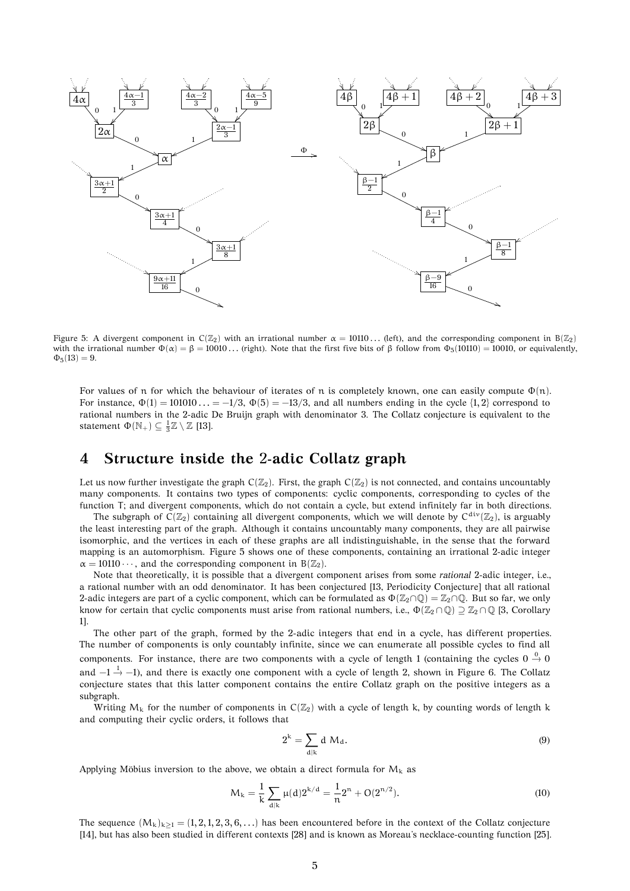

Figure 5: A divergent component in  $C(\mathbb{Z}_2)$  with an irrational number  $\alpha = 10110...$  (left), and the corresponding component in  $B(\mathbb{Z}_2)$ with the irrational number  $\Phi(\alpha) = \beta = 10010...$  (right). Note that the first five bits of  $\beta$  follow from  $\Phi_5(10110) = 10010$ , or equivalently,  $\Phi_5(13) = 9.$ 

For values of n for which the behaviour of iterates of n is completely known, one can easily compute  $\Phi(n)$ . For instance,  $\Phi(1) = 101010... = -1/3$ ,  $\Phi(5) = -13/3$ , and all numbers ending in the cycle  $\{1, 2\}$  correspond to rational numbers in the 2-adic De Bruijn graph with denominator 3. The Collatz conjecture is equivalent to the statement  $\Phi(\mathbb{N}_+) \subseteq \frac{1}{3}\mathbb{Z} \setminus \mathbb{Z}$  [13].

## **4 Structure inside the** 2**-adic Collatz graph**

Let us now further investigate the graph  $C(\mathbb{Z}_2)$ . First, the graph  $C(\mathbb{Z}_2)$  is not connected, and contains uncountably many components. It contains two types of components: cyclic components, corresponding to cycles of the function T; and divergent components, which do not contain a cycle, but extend infinitely far in both directions.

The subgraph of  $C(\mathbb{Z}_2)$  containing all divergent components, which we will denote by  $C^{\text{div}}(\mathbb{Z}_2)$ , is arguably the least interesting part of the graph. Although it contains uncountably many components, they are all pairwise isomorphic, and the vertices in each of these graphs are all indistinguishable, in the sense that the forward mapping is an automorphism. Figure 5 shows one of these components, containing an irrational 2-adic integer  $\alpha = 10110 \cdots$ , and the corresponding component in B( $\mathbb{Z}_2$ ).

Note that theoretically, it is possible that a divergent component arises from some *rational* 2-adic integer, i.e., a rational number with an odd denominator. It has been conjectured [13, Periodicity Conjecture] that all rational 2-adic integers are part of a cyclic component, which can be formulated as  $\Phi(\mathbb{Z}_2 \cap \mathbb{Q}) = \mathbb{Z}_2 \cap \mathbb{Q}$ . But so far, we only know for certain that cyclic components must arise from rational numbers, i.e.,  $\Phi(\mathbb{Z}_2 \cap \mathbb{Q}) \supseteq \mathbb{Z}_2 \cap \mathbb{Q}$  [3, Corollary 1].

The other part of the graph, formed by the 2-adic integers that end in a cycle, has different properties. The number of components is only countably infinite, since we can enumerate all possible cycles to find all components. For instance, there are two components with a cycle of length 1 (containing the cycles  $0 \stackrel{0}{\rightarrow} 0$ and  $-1\frac{1}{2}$  –1), and there is exactly one component with a cycle of length 2, shown in Figure 6. The Collatz conjecture states that this latter component contains the entire Collatz graph on the positive integers as a subgraph.

Writing  $M_k$  for the number of components in  $C(\mathbb{Z}_2)$  with a cycle of length k, by counting words of length k and computing their cyclic orders, it follows that

$$
2^k = \sum_{d|k} d M_d.
$$
 (9)

Applying Möbius inversion to the above, we obtain a direct formula for  $M_k$  as

$$
M_k = \frac{1}{k} \sum_{d|k} \mu(d) 2^{k/d} = \frac{1}{n} 2^n + O(2^{n/2}).
$$
\n(10)

The sequence  $(M_k)_{k\geq 1} = (1, 2, 1, 2, 3, 6, ...)$  has been encountered before in the context of the Collatz conjecture [14], but has also been studied in different contexts [28] and is known as Moreau's necklace-counting function [25].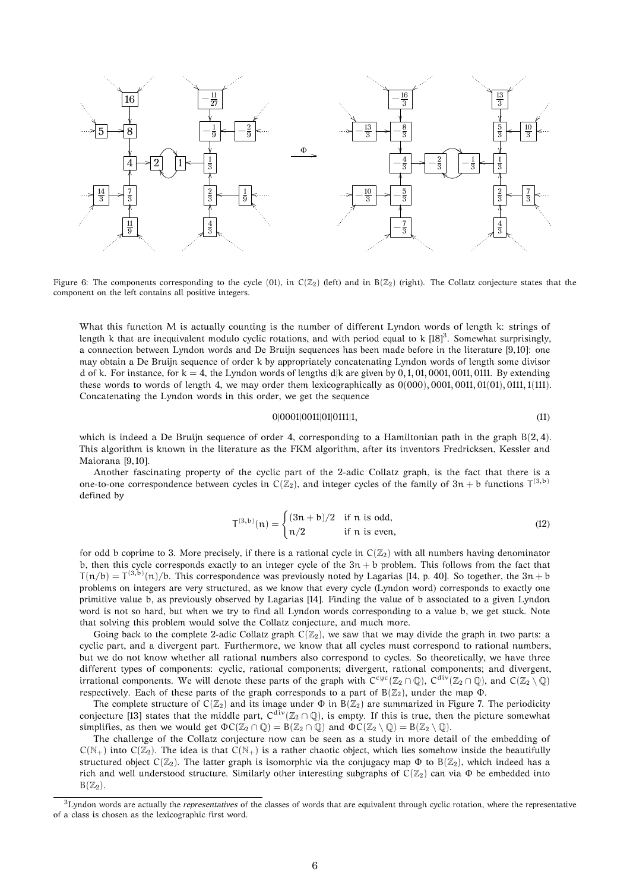

Figure 6: The components corresponding to the cycle (01), in  $C(\mathbb{Z}_2)$  (left) and in  $B(\mathbb{Z}_2)$  (right). The Collatz conjecture states that the component on the left contains all positive integers.

What this function M is actually counting is the number of different Lyndon words of length k: strings of length k that are inequivalent modulo cyclic rotations, and with period equal to k  $[18]^3$ . Somewhat surprisingly, a connection between Lyndon words and De Bruijn sequences has been made before in the literature [9, 10]: one may obtain a De Bruijn sequence of order k by appropriately concatenating Lyndon words of length some divisor d of k. For instance, for  $k = 4$ , the Lyndon words of lengths d|k are given by 0, 1, 01, 0001, 0011, 0111. By extending these words to words of length 4, we may order them lexicographically as  $0(000)$ ,  $0001$ ,  $0011$ ,  $01(01)$ ,  $0111$ ,  $1(111)$ . Concatenating the Lyndon words in this order, we get the sequence

$$
0|0001|0011|01|0111|1, \t(11)
$$

which is indeed a De Bruijn sequence of order 4, corresponding to a Hamiltonian path in the graph  $B(2, 4)$ . This algorithm is known in the literature as the FKM algorithm, after its inventors Fredricksen, Kessler and Maiorana [9, 10].

Another fascinating property of the cyclic part of the 2-adic Collatz graph, is the fact that there is a one-to-one correspondence between cycles in  $C(\mathbb{Z}_2)$ , and integer cycles of the family of  $3n + b$  functions  $T^{(3,b)}$ defined by

$$
\mathsf{T}^{(3,\mathrm{b})}(\mathsf{n}) = \begin{cases} (3\mathsf{n} + \mathsf{b})/2 & \text{if } \mathsf{n} \text{ is odd,} \\ \mathsf{n}/2 & \text{if } \mathsf{n} \text{ is even,} \end{cases} \tag{12}
$$

for odd b coprime to 3. More precisely, if there is a rational cycle in  $C(\mathbb{Z}_2)$  with all numbers having denominator b, then this cycle corresponds exactly to an integer cycle of the  $3n + b$  problem. This follows from the fact that  $T(n/b) = T^{(3,b)}(n)/b$ . This correspondence was previously noted by Lagarias [14, p. 40]. So together, the  $3n + b$ problems on integers are very structured, as we know that every cycle (Lyndon word) corresponds to exactly one primitive value b, as previously observed by Lagarias [14]. Finding the value of b associated to a given Lyndon word is not so hard, but when we try to find all Lyndon words corresponding to a value b, we get stuck. Note that solving this problem would solve the Collatz conjecture, and much more.

Going back to the complete 2-adic Collatz graph  $C(\mathbb{Z}_2)$ , we saw that we may divide the graph in two parts: a cyclic part, and a divergent part. Furthermore, we know that all cycles must correspond to rational numbers, but we do not know whether all rational numbers also correspond to cycles. So theoretically, we have three different types of components: cyclic, rational components; divergent, rational components; and divergent, irrational components. We will denote these parts of the graph with  $C^{cyc}(\mathbb{Z}_2 \cap \mathbb{Q})$ ,  $C^{div}(\mathbb{Z}_2 \cap \mathbb{Q})$ , and  $C(\mathbb{Z}_2 \setminus \mathbb{Q})$ respectively. Each of these parts of the graph corresponds to a part of  $B(\mathbb{Z}_2)$ , under the map  $\Phi$ .

The complete structure of  $C(\mathbb{Z}_2)$  and its image under  $\Phi$  in  $B(\mathbb{Z}_2)$  are summarized in Figure 7. The periodicity conjecture [13] states that the middle part,  $C^{div}(\mathbb{Z}_2 \cap \mathbb{Q})$ , is empty. If this is true, then the picture somewhat simplifies, as then we would get  $\Phi C(\mathbb{Z}_2 \cap \mathbb{Q}) = B(\mathbb{Z}_2 \cap \mathbb{Q})$  and  $\Phi C(\mathbb{Z}_2 \setminus \mathbb{Q}) = B(\mathbb{Z}_2 \setminus \mathbb{Q})$ .

The challenge of the Collatz conjecture now can be seen as a study in more detail of the embedding of  $C(N_+)$  into  $C(\mathbb{Z}_2)$ . The idea is that  $C(N_+)$  is a rather chaotic object, which lies somehow inside the beautifully structured object  $C(\mathbb{Z}_2)$ . The latter graph is isomorphic via the conjugacy map  $\Phi$  to  $B(\mathbb{Z}_2)$ , which indeed has a rich and well understood structure. Similarly other interesting subgraphs of  $C(\mathbb{Z}_2)$  can via  $\Phi$  be embedded into  $B(\mathbb{Z}_2)$ .

<sup>3</sup>Lyndon words are actually the *representatives* of the classes of words that are equivalent through cyclic rotation, where the representative of a class is chosen as the lexicographic first word.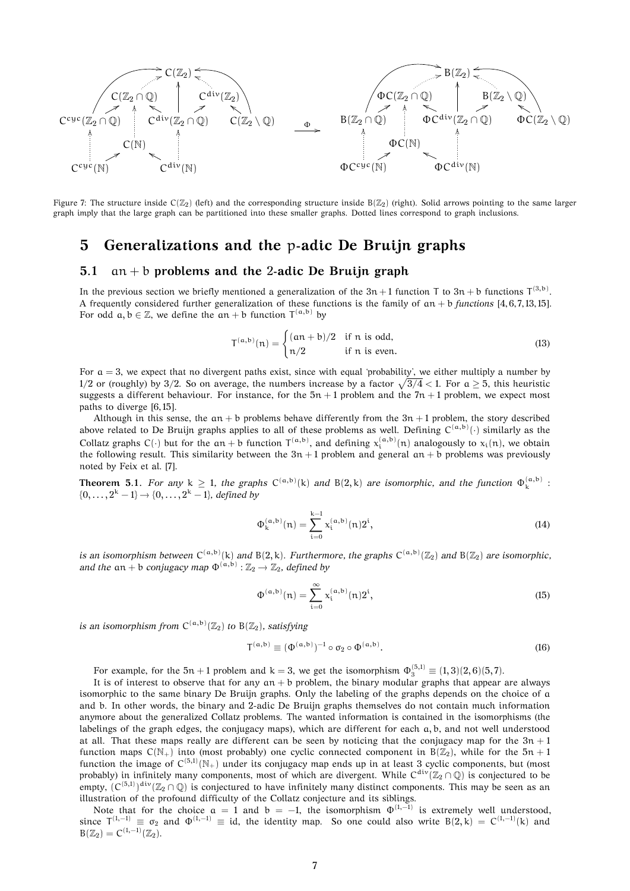

Figure 7: The structure inside  $C(\mathbb{Z}_2)$  (left) and the corresponding structure inside  $B(\mathbb{Z}_2)$  (right). Solid arrows pointing to the same larger graph imply that the large graph can be partitioned into these smaller graphs. Dotted lines correspond to graph inclusions.

### **5 Generalizations and the** p**-adic De Bruijn graphs**

#### **5.1** an + b **problems and the** 2**-adic De Bruijn graph**

In the previous section we briefly mentioned a generalization of the  $3n+1$  function T to  $3n+b$  functions  $T^{(3,b)}$ . A frequently considered further generalization of these functions is the family of an + b *functions* [4, 6, 7, 13, 15]. For odd  $a, b \in \mathbb{Z}$ , we define the  $an + b$  function  $T^{(a,b)}$  by

$$
T^{(a,b)}(n) = \begin{cases} (an+b)/2 & \text{if } n \text{ is odd,} \\ n/2 & \text{if } n \text{ is even.} \end{cases}
$$
 (13)

For  $a = 3$ , we expect that no divergent paths exist, since with equal 'probability', we either multiply a number by 1/2 or (roughly) by 3/2. So on average, the numbers increase by a factor  $\sqrt{3/4}$  < 1. For a  $\geq$  5, this heuristic suggests a different behaviour. For instance, for the  $5n + 1$  problem and the  $7n + 1$  problem, we expect most paths to diverge [6, 15].

Although in this sense, the an + b problems behave differently from the  $3n + 1$  problem, the story described above related to De Bruijn graphs applies to all of these problems as well. Defining  $C^{(a,b)}(\cdot)$  similarly as the Collatz graphs C( $\cdot$ ) but for the an + b function  $T^{(a,b)}$ , and defining  $x_i^{(a,b)}(n)$  analogously to  $x_i(n)$ , we obtain the following result. This similarity between the  $3n + 1$  problem and general  $an + b$  problems was previously noted by Feix et al. [7].

**Theorem 5.1.** For any  $k \ge 1$ , the graphs  $C^{(a,b)}(k)$  and  $B(2,k)$  are isomorphic, and the function  $\Phi_k^{(a,b)}$ :  $\{0, \ldots, 2^k - 1\} \rightarrow \{0, \ldots, 2^k - 1\}$ , defined by

$$
\Phi_{k}^{(a,b)}(n) = \sum_{i=0}^{k-1} x_{i}^{(a,b)}(n) 2^{i},
$$
\n(14)

is an isomorphism between  $C^{(\alpha,b)}(k)$  and  $B(2,k)$ . Furthermore, the graphs  $C^{(\alpha,b)}(\mathbb{Z}_2)$  and  $B(\mathbb{Z}_2)$  are isomorphic, *and the*  $an + b$  *conjugacy map*  $\Phi^{(a,b)}$  :  $\mathbb{Z}_2 \rightarrow \mathbb{Z}_2$ *, defined by* 

$$
\Phi^{(a,b)}(n) = \sum_{i=0}^{\infty} x_i^{(a,b)}(n) 2^i,
$$
\n(15)

*is an isomorphism from*  $C^{(a,b)}(\mathbb{Z}_2)$  *to*  $B(\mathbb{Z}_2)$ *, satisfying* 

$$
\mathbf{T}^{(\mathbf{a},\mathbf{b})} \equiv (\Phi^{(\mathbf{a},\mathbf{b})})^{-1} \circ \sigma_2 \circ \Phi^{(\mathbf{a},\mathbf{b})}.
$$
 (16)

For example, for the  $5n + 1$  problem and  $k = 3$ , we get the isomorphism  $\Phi_3^{(5,1)} \equiv (1,3)(2,6)(5,7)$ .

It is of interest to observe that for any  $an + b$  problem, the binary modular graphs that appear are always isomorphic to the same binary De Bruijn graphs. Only the labeling of the graphs depends on the choice of a and b. In other words, the binary and 2-adic De Bruijn graphs themselves do not contain much information anymore about the generalized Collatz problems. The wanted information is contained in the isomorphisms (the labelings of the graph edges, the conjugacy maps), which are different for each a, b, and not well understood at all. That these maps really are different can be seen by noticing that the conjugacy map for the  $3n + 1$ function maps  $C(N_+)$  into (most probably) one cyclic connected component in  $B(Z_2)$ , while for the  $5n + 1$ function the image of  $C^{(5,1)}(\mathbb{N}_+)$  under its conjugacy map ends up in at least 3 cyclic components, but (most probably) in infinitely many components, most of which are divergent. While  $C^{\rm div}(\Bbb Z_2\cap\Bbb Q)$  is conjectured to be empty,  $(C^{(5,1)})^{\text{div}}(\mathbb{Z}_2 \cap \mathbb{Q})$  is conjectured to have infinitely many distinct components. This may be seen as an illustration of the profound difficulty of the Collatz conjecture and its siblings.

Note that for the choice  $a = 1$  and  $b = -1$ , the isomorphism  $\Phi^{(1,-1)}$  is extremely well understood, since  $T^{(1,-1)} \equiv \sigma_2$  and  $\Phi^{(1,-1)} \equiv id$ , the identity map. So one could also write  $B(2,k) = C^{(1,-1)}(k)$  and  $B(\mathbb{Z}_2) = C^{(1,-1)}(\mathbb{Z}_2).$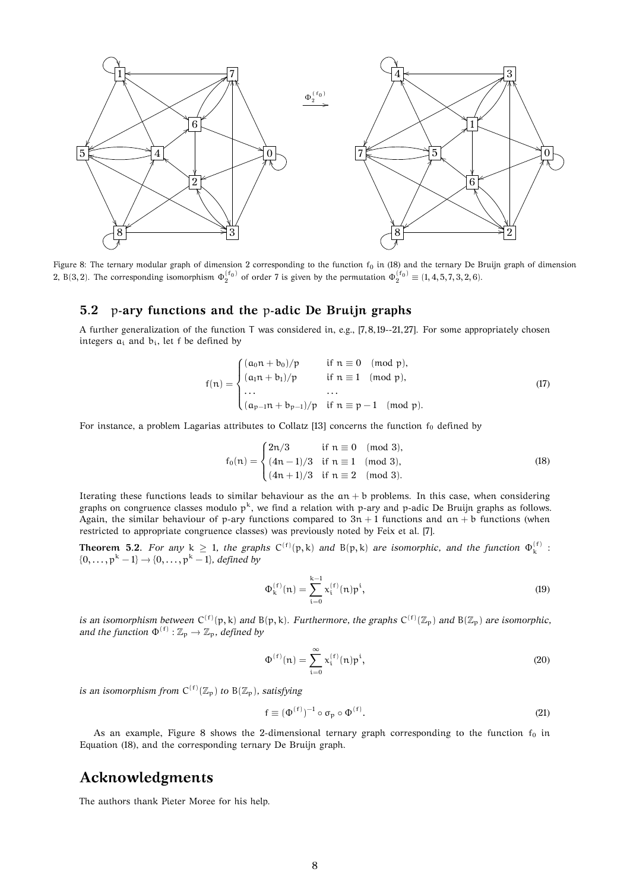

Figure 8: The ternary modular graph of dimension 2 corresponding to the function  $f_0$  in (18) and the ternary De Bruijn graph of dimension 2, B(3,2). The corresponding isomorphism  $\Phi_2^{(f_0)}$  of order 7 is given by the permutation  $\Phi_2^{(f_0)} \equiv (1, 4, 5, 7, 3, 2, 6)$ .

#### **5.2** p**-ary functions and the** p**-adic De Bruijn graphs**

A further generalization of the function T was considered in, e.g., [7, 8, 19--21, 27]. For some appropriately chosen integers  $a_i$  and  $b_i$ , let f be defined by

$$
f(n) = \begin{cases} (a_0 n + b_0)/p & \text{if } n \equiv 0 \pmod{p}, \\ (a_1 n + b_1)/p & \text{if } n \equiv 1 \pmod{p}, \\ \dots & \dots \\ (a_{p-1} n + b_{p-1})/p & \text{if } n \equiv p-1 \pmod{p}. \end{cases}
$$
(17)

For instance, a problem Lagarias attributes to Collatz [13] concerns the function  $f_0$  defined by

$$
f_0(n) = \begin{cases} 2n/3 & \text{if } n \equiv 0 \pmod{3}, \\ (4n-1)/3 & \text{if } n \equiv 1 \pmod{3}, \\ (4n+1)/3 & \text{if } n \equiv 2 \pmod{3}. \end{cases}
$$
(18)

Iterating these functions leads to similar behaviour as the  $an + b$  problems. In this case, when considering graphs on congruence classes modulo  $p^k$ , we find a relation with p-ary and p-adic De Bruijn graphs as follows. Again, the similar behaviour of p-ary functions compared to  $3n + 1$  functions and an + b functions (when restricted to appropriate congruence classes) was previously noted by Feix et al. [7].

**Theorem 5.2.** For any  $k \ge 1$ , the graphs  $C^{(f)}(p, k)$  and  $B(p, k)$  are isomorphic, and the function  $\Phi_k^{(f)}$ :  $\{0, \ldots, p^{k} - 1\} \rightarrow \{0, \ldots, p^{k} - 1\}$ , defined by

$$
\Phi_{k}^{(f)}(n) = \sum_{i=0}^{k-1} x_{i}^{(f)}(n)p^{i},
$$
\n(19)

is an isomorphism between  $C^{(f)}(p, k)$  and  $B(p, k)$ . Furthermore, the graphs  $C^{(f)}(\mathbb{Z}_p)$  and  $B(\mathbb{Z}_p)$  are isomorphic, and the function  $\Phi^{(f)} : \mathbb{Z}_p \to \mathbb{Z}_p$ , defined by

$$
\Phi^{(f)}(n) = \sum_{i=0}^{\infty} x_i^{(f)}(n) p^i,
$$
\n(20)

*is an isomorphism from*  $C^{(f)}(\mathbb{Z}_p)$  *to*  $B(\mathbb{Z}_p)$ *, satisfying* 

$$
\mathbf{f} \equiv (\Phi^{(\mathbf{f})})^{-1} \circ \sigma_{\mathbf{p}} \circ \Phi^{(\mathbf{f})}.
$$
 (21)

As an example, Figure 8 shows the 2-dimensional ternary graph corresponding to the function  $f_0$  in Equation (18), and the corresponding ternary De Bruijn graph.

#### **Acknowledgments**

The authors thank Pieter Moree for his help.